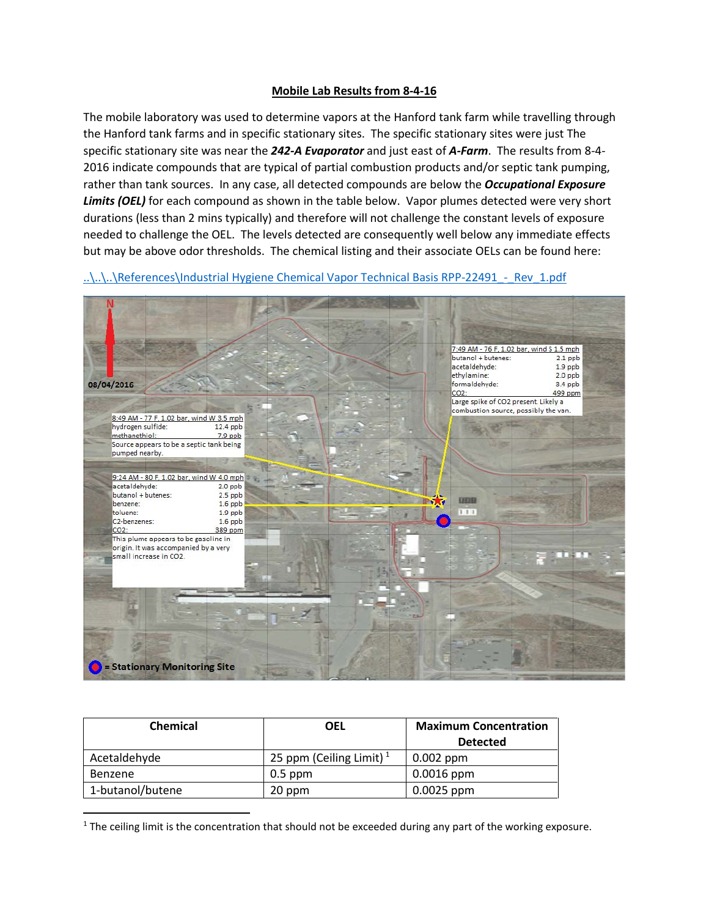## **Mobile Lab Results from 8-4-16**

The mobile laboratory was used to determine vapors at the Hanford tank farm while travelling through the Hanford tank farms and in specific stationary sites. The specific stationary sites were just The specific stationary site was near the *242-A Evaporator* and just east of *A-Farm*. The results from 8-4- 2016 indicate compounds that are typical of partial combustion products and/or septic tank pumping, rather than tank sources. In any case, all detected compounds are below the *Occupational Exposure Limits (OEL)* for each compound as shown in the table below. Vapor plumes detected were very short durations (less than 2 mins typically) and therefore will not challenge the constant levels of exposure needed to challenge the OEL. The levels detected are consequently well below any immediate effects but may be above odor thresholds. The chemical listing and their associate OELs can be found here:

..\..\..\References\Industrial Hygiene Chemical Vapor Technical Basis RPP-22491 - Rev\_1.pdf



| <b>Chemical</b>  | OEL                                 | <b>Maximum Concentration</b> |
|------------------|-------------------------------------|------------------------------|
|                  |                                     | <b>Detected</b>              |
| Acetaldehyde     | 25 ppm (Ceiling Limit) <sup>1</sup> | $0.002$ ppm                  |
| <b>Benzene</b>   | $0.5$ ppm                           | $0.0016$ ppm                 |
| 1-butanol/butene | 20 ppm                              | $0.0025$ ppm                 |

<span id="page-0-0"></span> $1$  The ceiling limit is the concentration that should not be exceeded during any part of the working exposure.